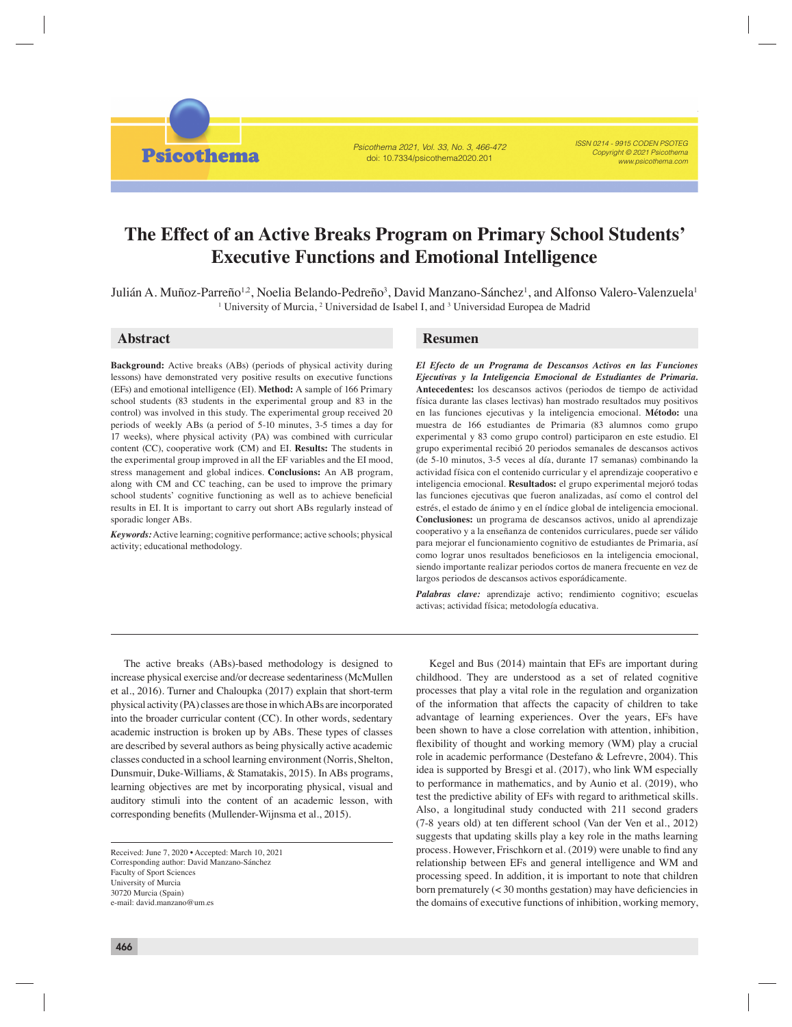Psicothema 2021, Vol. 33, No. 3, 466-472 doi: 10.7334/psicothema2020.201

ISSN 0214 - 9915 CODEN PSOTEG Copyright © 2021 Psicothema www.psicothema.com

# **The Effect of an Active Breaks Program on Primary School Students' Executive Functions and Emotional Intelligence**

Julián A. Muñoz-Parreño, Noelia Belando-Pedreño, David Manzano-Sánchez, and Alfonso Valero-Valenzuela

Julián A. Muñoz-Parreño<sup>1,2</sup>, Noelia Belando-Pedreño<sup>3</sup>, David Manzano-Sánchez<sup>1</sup>, and Alfonso Valero-Valenzuela<sup>1</sup> <sup>1</sup> University of Murcia, <sup>2</sup> Universidad de Isabel I, and <sup>3</sup> Universidad Europea de Madrid

**Psicothema** 

**Background:** Active breaks (ABs) (periods of physical activity during lessons) have demonstrated very positive results on executive functions (EFs) and emotional intelligence (EI). **Method:** A sample of 166 Primary school students (83 students in the experimental group and 83 in the control) was involved in this study. The experimental group received 20 periods of weekly ABs (a period of 5-10 minutes, 3-5 times a day for 17 weeks), where physical activity (PA) was combined with curricular content (CC), cooperative work (CM) and EI. **Results:** The students in the experimental group improved in all the EF variables and the EI mood, stress management and global indices. **Conclusions:** An AB program, along with CM and CC teaching, can be used to improve the primary school students' cognitive functioning as well as to achieve beneficial results in EI. It is important to carry out short ABs regularly instead of sporadic longer ABs.

*Keywords:* Active learning; cognitive performance; active schools; physical activity; educational methodology.

# **Abstract Resumen**

*El Efecto de un Programa de Descansos Activos en las Funciones Ejecutivas y la Inteligencia Emocional de Estudiantes de Primaria.* **Antecedentes:** los descansos activos (periodos de tiempo de actividad física durante las clases lectivas) han mostrado resultados muy positivos en las funciones ejecutivas y la inteligencia emocional. **Método:** una muestra de 166 estudiantes de Primaria (83 alumnos como grupo experimental y 83 como grupo control) participaron en este estudio. El grupo experimental recibió 20 periodos semanales de descansos activos (de 5-10 minutos, 3-5 veces al día, durante 17 semanas) combinando la actividad física con el contenido curricular y el aprendizaje cooperativo e inteligencia emocional. **Resultados:** el grupo experimental mejoró todas las funciones ejecutivas que fueron analizadas, así como el control del estrés, el estado de ánimo y en el índice global de inteligencia emocional. **Conclusiones:** un programa de descansos activos, unido al aprendizaje cooperativo y a la enseñanza de contenidos curriculares, puede ser válido para mejorar el funcionamiento cognitivo de estudiantes de Primaria, así como lograr unos resultados beneficiosos en la inteligencia emocional, siendo importante realizar periodos cortos de manera frecuente en vez de largos periodos de descansos activos esporádicamente.

Palabras clave: aprendizaje activo; rendimiento cognitivo; escuelas activas; actividad física; metodología educativa.

The active breaks (ABs)-based methodology is designed to increase physical exercise and/or decrease sedentariness (McMullen et al., 2016). Turner and Chaloupka (2017) explain that short-term physical activity (PA) classes are those in which ABs are incorporated into the broader curricular content (CC). In other words, sedentary academic instruction is broken up by ABs. These types of classes are described by several authors as being physically active academic classes conducted in a school learning environment (Norris, Shelton, Dunsmuir, Duke-Williams, & Stamatakis, 2015). In ABs programs, learning objectives are met by incorporating physical, visual and auditory stimuli into the content of an academic lesson, with corresponding benefits (Mullender-Wijnsma et al., 2015).

Received: June 7, 2020 • Accepted: March 10, 2021 Corresponding author: David Manzano-Sánchez Faculty of Sport Sciences University of Murcia 30720 Murcia (Spain) e-mail: david.manzano@um.es

Kegel and Bus (2014) maintain that EFs are important during childhood. They are understood as a set of related cognitive processes that play a vital role in the regulation and organization of the information that affects the capacity of children to take advantage of learning experiences. Over the years, EFs have been shown to have a close correlation with attention, inhibition, flexibility of thought and working memory (WM) play a crucial role in academic performance (Destefano & Lefrevre, 2004). This idea is supported by Bresgi et al. (2017), who link WM especially to performance in mathematics, and by Aunio et al. (2019), who test the predictive ability of EFs with regard to arithmetical skills. Also, a longitudinal study conducted with 211 second graders (7-8 years old) at ten different school (Van der Ven et al., 2012) suggests that updating skills play a key role in the maths learning process. However, Frischkorn et al. (2019) were unable to find any relationship between EFs and general intelligence and WM and processing speed. In addition, it is important to note that children born prematurely  $\left($  < 30 months gestation) may have deficiencies in the domains of executive functions of inhibition, working memory,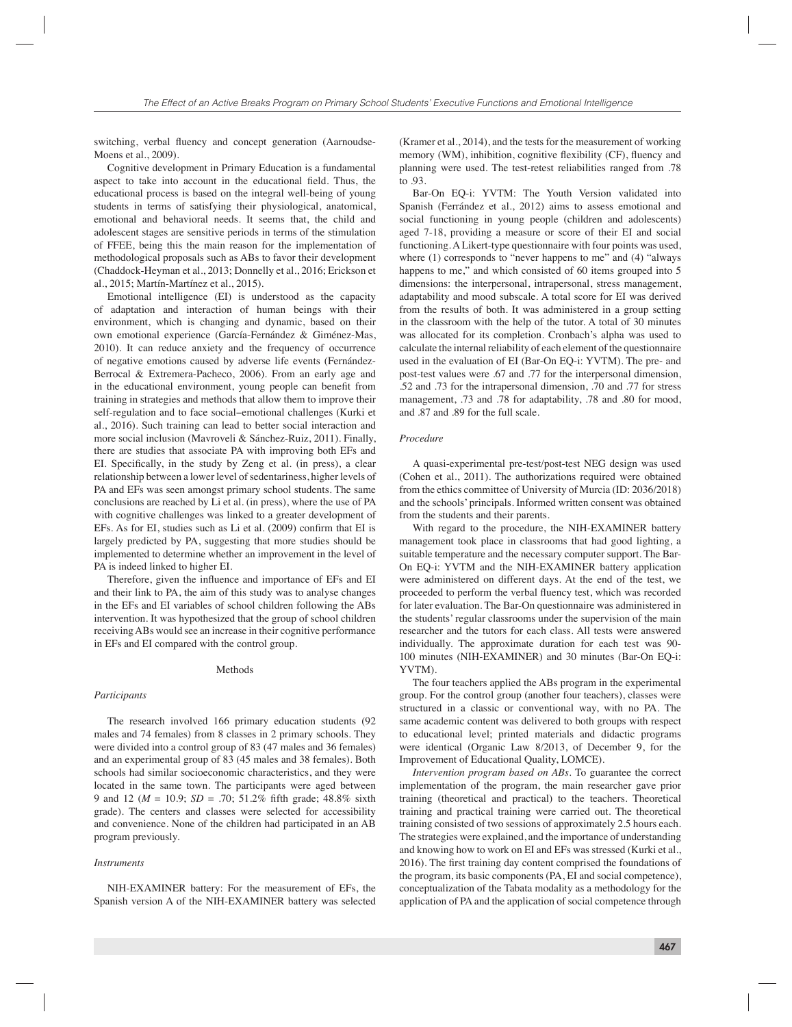switching, verbal fluency and concept generation (Aarnoudse-Moens et al., 2009).

Cognitive development in Primary Education is a fundamental aspect to take into account in the educational field. Thus, the educational process is based on the integral well-being of young students in terms of satisfying their physiological, anatomical, emotional and behavioral needs. It seems that, the child and adolescent stages are sensitive periods in terms of the stimulation of FFEE, being this the main reason for the implementation of methodological proposals such as ABs to favor their development (Chaddock-Heyman et al., 2013; Donnelly et al., 2016; Erickson et al., 2015; Martín-Martínez et al., 2015).

Emotional intelligence (EI) is understood as the capacity of adaptation and interaction of human beings with their environment, which is changing and dynamic, based on their own emotional experience (García-Fernández & Giménez-Mas, 2010). It can reduce anxiety and the frequency of occurrence of negative emotions caused by adverse life events (Fernández-Berrocal & Extremera-Pacheco, 2006). From an early age and in the educational environment, young people can benefit from training in strategies and methods that allow them to improve their self-regulation and to face social−emotional challenges (Kurki et al., 2016). Such training can lead to better social interaction and more social inclusion (Mavroveli & Sánchez-Ruiz, 2011). Finally, there are studies that associate PA with improving both EFs and EI. Specifically, in the study by Zeng et al. (in press), a clear relationship between a lower level of sedentariness, higher levels of PA and EFs was seen amongst primary school students. The same conclusions are reached by Li et al. (in press), where the use of PA with cognitive challenges was linked to a greater development of EFs. As for EI, studies such as Li et al. (2009) confirm that EI is largely predicted by PA, suggesting that more studies should be implemented to determine whether an improvement in the level of PA is indeed linked to higher EI.

Therefore, given the influence and importance of EFs and EI and their link to PA, the aim of this study was to analyse changes in the EFs and EI variables of school children following the ABs intervention. It was hypothesized that the group of school children receiving ABs would see an increase in their cognitive performance in EFs and EI compared with the control group.

### **Methods**

## *Participants*

The research involved 166 primary education students (92 males and 74 females) from 8 classes in 2 primary schools. They were divided into a control group of 83 (47 males and 36 females) and an experimental group of 83 (45 males and 38 females). Both schools had similar socioeconomic characteristics, and they were located in the same town. The participants were aged between 9 and 12 ( $M = 10.9$ ;  $SD = .70$ ; 51.2% fifth grade; 48.8% sixth grade). The centers and classes were selected for accessibility and convenience. None of the children had participated in an AB program previously.

#### *Instruments*

NIH-EXAMINER battery: For the measurement of EFs, the Spanish version A of the NIH-EXAMINER battery was selected

(Kramer et al., 2014), and the tests for the measurement of working memory (WM), inhibition, cognitive flexibility (CF), fluency and planning were used. The test-retest reliabilities ranged from .78 to  $93$ 

Bar-On EQ-i: YVTM: The Youth Version validated into Spanish (Ferrández et al., 2012) aims to assess emotional and social functioning in young people (children and adolescents) aged 7-18, providing a measure or score of their EI and social functioning. A Likert-type questionnaire with four points was used, where (1) corresponds to "never happens to me" and (4) "always happens to me," and which consisted of 60 items grouped into 5 dimensions: the interpersonal, intrapersonal, stress management, adaptability and mood subscale. A total score for EI was derived from the results of both. It was administered in a group setting in the classroom with the help of the tutor. A total of 30 minutes was allocated for its completion. Cronbach's alpha was used to calculate the internal reliability of each element of the questionnaire used in the evaluation of EI (Bar-On EQ-i: YVTM). The pre- and post-test values were .67 and .77 for the interpersonal dimension, .52 and .73 for the intrapersonal dimension, .70 and .77 for stress management, .73 and .78 for adaptability, .78 and .80 for mood, and .87 and .89 for the full scale.

# *Procedure*

A quasi-experimental pre-test/post-test NEG design was used (Cohen et al., 2011). The authorizations required were obtained from the ethics committee of University of Murcia (ID: 2036/2018) and the schools' principals. Informed written consent was obtained from the students and their parents.

With regard to the procedure, the NIH-EXAMINER battery management took place in classrooms that had good lighting, a suitable temperature and the necessary computer support. The Bar-On EQ-i: YVTM and the NIH-EXAMINER battery application were administered on different days. At the end of the test, we proceeded to perform the verbal fluency test, which was recorded for later evaluation. The Bar-On questionnaire was administered in the students' regular classrooms under the supervision of the main researcher and the tutors for each class. All tests were answered individually. The approximate duration for each test was 90- 100 minutes (NIH-EXAMINER) and 30 minutes (Bar-On EQ-i: YVTM).

The four teachers applied the ABs program in the experimental group. For the control group (another four teachers), classes were structured in a classic or conventional way, with no PA. The same academic content was delivered to both groups with respect to educational level; printed materials and didactic programs were identical (Organic Law 8/2013, of December 9, for the Improvement of Educational Quality, LOMCE).

*Intervention program based on ABs.* To guarantee the correct implementation of the program, the main researcher gave prior training (theoretical and practical) to the teachers. Theoretical training and practical training were carried out. The theoretical training consisted of two sessions of approximately 2.5 hours each. The strategies were explained, and the importance of understanding and knowing how to work on EI and EFs was stressed (Kurki et al., 2016). The first training day content comprised the foundations of the program, its basic components (PA, EI and social competence), conceptualization of the Tabata modality as a methodology for the application of PA and the application of social competence through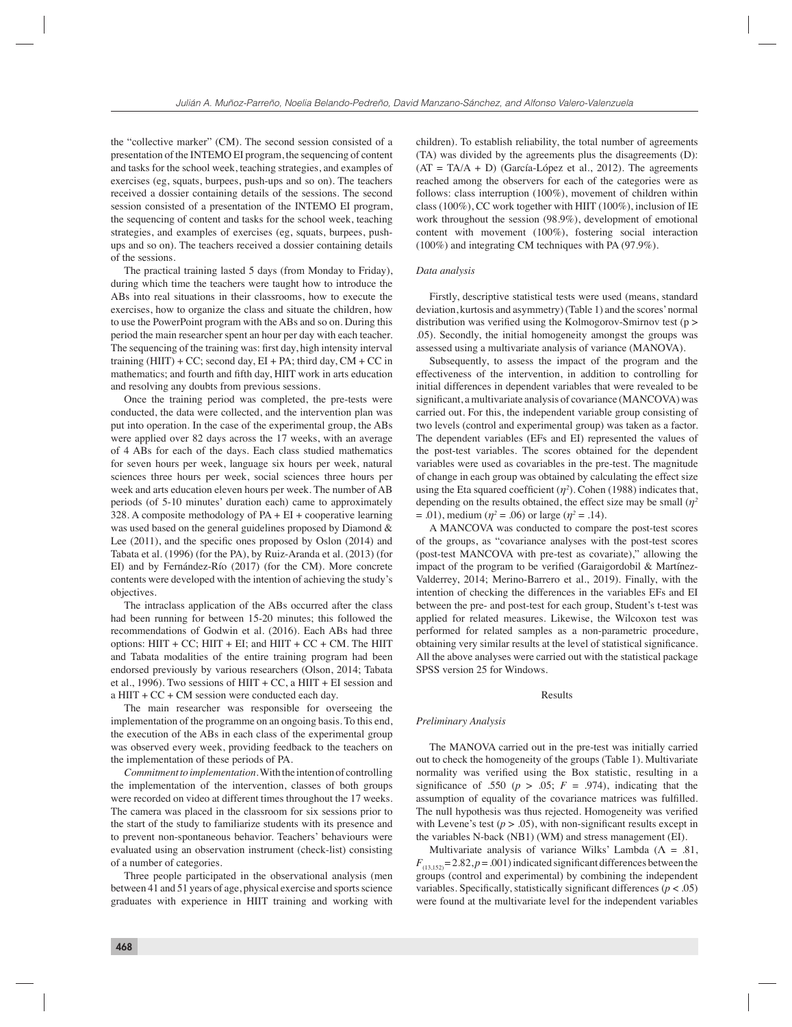the "collective marker" (CM). The second session consisted of a presentation of the INTEMO EI program, the sequencing of content and tasks for the school week, teaching strategies, and examples of exercises (eg, squats, burpees, push-ups and so on). The teachers received a dossier containing details of the sessions. The second session consisted of a presentation of the INTEMO EI program, the sequencing of content and tasks for the school week, teaching strategies, and examples of exercises (eg, squats, burpees, pushups and so on). The teachers received a dossier containing details of the sessions.

The practical training lasted 5 days (from Monday to Friday), during which time the teachers were taught how to introduce the ABs into real situations in their classrooms, how to execute the exercises, how to organize the class and situate the children, how to use the PowerPoint program with the ABs and so on. During this period the main researcher spent an hour per day with each teacher. The sequencing of the training was: first day, high intensity interval training  $(HIIT) + CC$ ; second day,  $EI + PA$ ; third day,  $CM + CC$  in mathematics; and fourth and fifth day, HIIT work in arts education and resolving any doubts from previous sessions.

Once the training period was completed, the pre-tests were conducted, the data were collected, and the intervention plan was put into operation. In the case of the experimental group, the ABs were applied over 82 days across the 17 weeks, with an average of 4 ABs for each of the days. Each class studied mathematics for seven hours per week, language six hours per week, natural sciences three hours per week, social sciences three hours per week and arts education eleven hours per week. The number of AB periods (of 5-10 minutes' duration each) came to approximately 328. A composite methodology of  $PA + EI +$  cooperative learning was used based on the general guidelines proposed by Diamond & Lee  $(2011)$ , and the specific ones proposed by Oslon  $(2014)$  and Tabata et al. (1996) (for the PA), by Ruiz-Aranda et al. (2013) (for EI) and by Fernández-Río (2017) (for the CM). More concrete contents were developed with the intention of achieving the study's objectives.

The intraclass application of the ABs occurred after the class had been running for between 15-20 minutes; this followed the recommendations of Godwin et al. (2016). Each ABs had three options:  $HIT + CC$ ;  $HIT + EI$ ; and  $HIT + CC + CM$ . The  $HIT$ and Tabata modalities of the entire training program had been endorsed previously by various researchers (Olson, 2014; Tabata et al., 1996). Two sessions of  $HIT + CC$ , a  $HIT + EI$  session and a HIIT +  $CC + CM$  session were conducted each day.

The main researcher was responsible for overseeing the implementation of the programme on an ongoing basis. To this end, the execution of the ABs in each class of the experimental group was observed every week, providing feedback to the teachers on the implementation of these periods of PA.

*Commitment to implementation*. With the intention of controlling the implementation of the intervention, classes of both groups were recorded on video at different times throughout the 17 weeks. The camera was placed in the classroom for six sessions prior to the start of the study to familiarize students with its presence and to prevent non-spontaneous behavior. Teachers' behaviours were evaluated using an observation instrument (check-list) consisting of a number of categories.

Three people participated in the observational analysis (men between 41 and 51 years of age, physical exercise and sports science graduates with experience in HIIT training and working with children). To establish reliability, the total number of agreements (TA) was divided by the agreements plus the disagreements (D):  $(AT = TA/A + D)$  (García-López et al., 2012). The agreements reached among the observers for each of the categories were as follows: class interruption (100%), movement of children within class (100%), CC work together with HIIT (100%), inclusion of IE work throughout the session (98.9%), development of emotional content with movement (100%), fostering social interaction (100%) and integrating CM techniques with PA (97.9%).

#### *Data analysis*

Firstly, descriptive statistical tests were used (means, standard deviation, kurtosis and asymmetry) (Table 1) and the scores' normal distribution was verified using the Kolmogorov-Smirnov test ( $p >$ .05). Secondly, the initial homogeneity amongst the groups was assessed using a multivariate analysis of variance (MANOVA).

Subsequently, to assess the impact of the program and the effectiveness of the intervention, in addition to controlling for initial differences in dependent variables that were revealed to be significant, a multivariate analysis of covariance (MANCOVA) was carried out. For this, the independent variable group consisting of two levels (control and experimental group) was taken as a factor. The dependent variables (EFs and EI) represented the values of the post-test variables. The scores obtained for the dependent variables were used as covariables in the pre-test. The magnitude of change in each group was obtained by calculating the effect size using the Eta squared coefficient  $(\eta^2)$ . Cohen (1988) indicates that, depending on the results obtained, the effect size may be small (*η<sup>2</sup>*  $= .01$ ), medium ( $\eta^2 = .06$ ) or large ( $\eta^2 = .14$ ).

A MANCOVA was conducted to compare the post-test scores of the groups, as "covariance analyses with the post-test scores (post-test MANCOVA with pre-test as covariate)," allowing the impact of the program to be verified (Garaigordobil  $&$  Martínez-Valderrey, 2014; Merino-Barrero et al., 2019). Finally, with the intention of checking the differences in the variables EFs and EI between the pre- and post-test for each group, Student's t-test was applied for related measures. Likewise, the Wilcoxon test was performed for related samples as a non-parametric procedure, obtaining very similar results at the level of statistical significance. All the above analyses were carried out with the statistical package SPSS version 25 for Windows.

# Results

#### *Preliminary Analysis*

The MANOVA carried out in the pre-test was initially carried out to check the homogeneity of the groups (Table 1). Multivariate normality was verified using the Box statistic, resulting in a significance of .550 ( $p > .05$ ;  $F = .974$ ), indicating that the assumption of equality of the covariance matrices was fulfilled. The null hypothesis was thus rejected. Homogeneity was verified with Levene's test  $(p > .05)$ , with non-significant results except in the variables N-back (NB1) (WM) and stress management (EI).

Multivariate analysis of variance Wilks' Lambda ( $\Lambda = .81$ ,  $F_{(13,152)} = 2.82, p = .001$ ) indicated significant differences between the groups (control and experimental) by combining the independent variables. Specifically, statistically significant differences  $(p < .05)$ were found at the multivariate level for the independent variables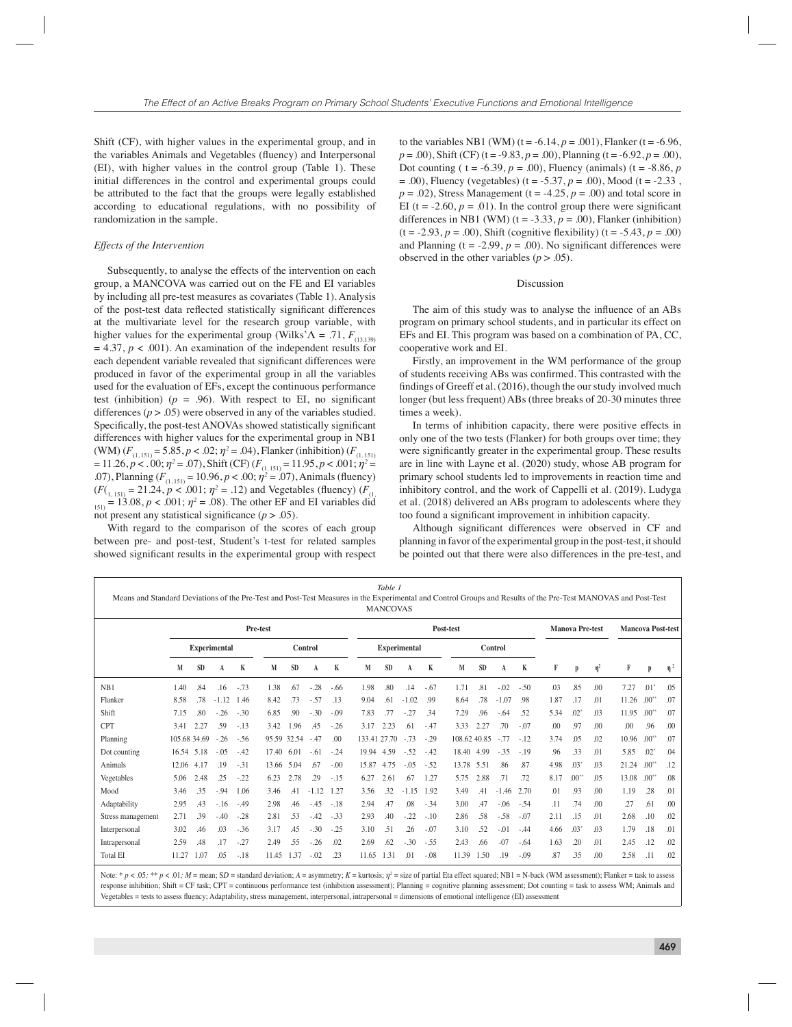Shift (CF), with higher values in the experimental group, and in the variables Animals and Vegetables (fluency) and Interpersonal (EI), with higher values in the control group (Table 1). These initial differences in the control and experimental groups could be attributed to the fact that the groups were legally established according to educational regulations, with no possibility of randomization in the sample.

# *Effects of the Intervention*

Subsequently, to analyse the effects of the intervention on each group, a MANCOVA was carried out on the FE and EI variables by including all pre-test measures as covariates (Table 1). Analysis of the post-test data reflected statistically significant differences at the multivariate level for the research group variable, with higher values for the experimental group (Wilks' $\Lambda = .71$ ,  $F_{(13,139)}$ )  $= 4.37, p < .001$ ). An examination of the independent results for each dependent variable revealed that significant differences were produced in favor of the experimental group in all the variables used for the evaluation of EFs, except the continuous performance test (inhibition) ( $p = .96$ ). With respect to EI, no significant differences  $(p > .05)$  were observed in any of the variables studied. Specifically, the post-test ANOVAs showed statistically significant differences with higher values for the experimental group in NB1 (WM)  $(F_{(1, 151)} = 5.85, p < .02; \eta^2 = .04)$ , Flanker (inhibition)  $(F_{(1, 151)}$  $= 11.26, p < .00; \eta^2 = .07$ , Shift (CF)  $(F_{(1, 151)} = 11.95, p < .001; \eta^2 = .07$ .07), Planning  $(F_{(1, 151)} = 10.96, p < .00; \eta^2 = .07)$ , Animals (fluency)  $(F(\mathcal{F}_{1, 151)} = 21.24, p < .001; \eta^2 = .12)$  and Vegetables (fluency)  $(F_{(1, 151)} = 21.24, p < .001; \eta^2 = .12)$  $_{151}$  = 13.08, *p* < .001;  $\eta^2$  = .08). The other EF and EI variables did not present any statistical significance  $(p > .05)$ .

With regard to the comparison of the scores of each group between pre- and post-test, Student's t-test for related samples showed significant results in the experimental group with respect

to the variables NB1 (WM) ( $t = -6.14$ ,  $p = .001$ ), Flanker ( $t = -6.96$ ,  $p = .00$ ), Shift (CF) (t = -9.83,  $p = .00$ ), Planning (t = -6.92,  $p = .00$ ), Dot counting (  $t = -6.39$ ,  $p = .00$ ), Fluency (animals) ( $t = -8.86$ ,  $p = 0$  $= .00$ ), Fluency (vegetables) (t = -5.37, p = .00), Mood (t = -2.33,  $p = .02$ ), Stress Management (t = -4.25,  $p = .00$ ) and total score in EI (t =  $-2.60$ ,  $p = .01$ ). In the control group there were significant differences in NB1 (WM) ( $t = -3.33$ ,  $p = .00$ ), Flanker (inhibition)  $(t = -2.93, p = .00)$ , Shift (cognitive flexibility)  $(t = -5.43, p = .00)$ and Planning ( $t = -2.99$ ,  $p = .00$ ). No significant differences were observed in the other variables  $(p > .05)$ .

### Discussion

The aim of this study was to analyse the influence of an ABs program on primary school students, and in particular its effect on EFs and EI. This program was based on a combination of PA, CC, cooperative work and EI.

Firstly, an improvement in the WM performance of the group of students receiving ABs was confirmed. This contrasted with the findings of Greeff et al. (2016), though the our study involved much longer (but less frequent) ABs (three breaks of 20-30 minutes three times a week).

In terms of inhibition capacity, there were positive effects in only one of the two tests (Flanker) for both groups over time; they were significantly greater in the experimental group. These results are in line with Layne et al. (2020) study, whose AB program for primary school students led to improvements in reaction time and inhibitory control, and the work of Cappelli et al. (2019). Ludyga et al. (2018) delivered an ABs program to adolescents where they too found a significant improvement in inhibition capacity.

Although significant differences were observed in CF and planning in favor of the experimental group in the post-test, it should be pointed out that there were also differences in the pre-test, and

| Table                                                                                                                                                         |
|---------------------------------------------------------------------------------------------------------------------------------------------------------------|
| Means and Standard Deviations of the Pre-Test and Post-Test Measures in the Experimental and Control Groups and Results of the Pre-Test MANOVAS and Post-Test |
| <b>MANCOVAS</b>                                                                                                                                               |

|                   | Pre-test            |           |         |        |         |           |         |        |                     | Post-test    |         |        |                |           |         |         |      | <b>Manova Pre-test</b> |                  |       | <b>Mancova Post-test</b> |          |  |
|-------------------|---------------------|-----------|---------|--------|---------|-----------|---------|--------|---------------------|--------------|---------|--------|----------------|-----------|---------|---------|------|------------------------|------------------|-------|--------------------------|----------|--|
|                   | <b>Experimental</b> |           |         |        | Control |           |         |        | <b>Experimental</b> |              |         |        | <b>Control</b> |           |         |         |      |                        |                  |       |                          |          |  |
|                   | M                   | <b>SD</b> | A       | K      | M       | <b>SD</b> | A       | K      | M                   | <b>SD</b>    | A       | K      | M              | <b>SD</b> | A       | K       | F    | p                      | $\eta^2$         | F     | p                        | $\eta^2$ |  |
| NB1               | 1.40                | .84       | .16     | $-.73$ | 1.38    | .67       | $-28$   | $-.66$ | 1.98                | .80          | .14     | $-.67$ | 1.71           | .81       | $-.02$  | $-.50$  | .03  | .85                    | .00              | 7.27  | $.01^{\circ}$            | .05      |  |
| Flanker           | 8.58                | .78       | $-1.12$ | 1.46   | 8.42    | .73       | $-57$   | .13    | 9.04                | .61          | $-1.02$ | .99    | 8.64           | .78       | $-1.07$ | .98     | 1.87 | .17                    | .01              | 11.26 | $.00^{**}$               | .07      |  |
| Shift             | 7.15                | .80       | $-.26$  | $-.30$ | 6.85    | .90       | $-.30$  | $-.09$ | 7.83                | .77          | $-27$   | .34    | 7.29           | .96       | $-.64$  | .52     | 5.34 | $.02^*$                | .03              | 11.95 | $.00**$                  | .07      |  |
| <b>CPT</b>        | 3.41                | 2.27      | .59     | $-.13$ | 3.42    | 1.96      | .45     | $-.26$ | 3.17                | 2.23         | .61     | $-47$  | 3.33           | 2.27      | .70     | $-.07$  | .00  | .97                    | .00              | .00   | .96                      | .00      |  |
| Planning          | 105.68 34.69        |           | $-26$   | $-.56$ | 95.59   | 32.54     | $-47$   | .00    |                     | 133.41 27.70 | $-.73$  | $-29$  | 108.62 40.85   |           | $-.77$  | $-.12$  | 3.74 | .05                    | .02              | 10.96 | $.00^{**}$               | .07      |  |
| Dot counting      | 16.54 5.18          |           | $-.05$  | $-42$  | 17.40   | 6.01      | $-61$   | $-.24$ | 19.94               | 4.59         | $-.52$  | $-42$  | 18.40          | 4.99      | $-35$   | $-.19$  | .96  | .33                    | .01              | 5.85  | .02                      | .04      |  |
| Animals           | 12.06               | 4.17      | .19     | $-.31$ | 13.66   | 5.04      | .67     | $-.00$ | 15.87               | 4.75         | $-.05$  | $-52$  | 13.78          | 5.51      | .86     | .87     | 4.98 | $.03*$                 | .03              | 21.24 | $.00**$                  | .12      |  |
| Vegetables        | 5.06                | 2.48      | .25     | $-22$  | 6.23    | 2.78      | .29     | $-.15$ | 6.27                | 2.61         | .67     | 1.27   | 5.75           | 2.88      | .71     | .72     | 8.17 | $.00**$                | .05              | 13.08 | $.00^{**}$               | .08      |  |
| Mood              | 3.46                | .35       | $-.94$  | 1.06   | 3.46    | .41       | $-1.12$ | 1.27   | 3.56                | .32          | $-1.15$ | 1.92   | 3.49           | .41       | $-1.46$ | 2.70    | .01  | .93                    | .00              | 1.19  | .28                      | .01      |  |
| Adaptability      | 2.95                | .43       | $-.16$  | $-.49$ | 2.98    | .46       | $-45$   | $-.18$ | 2.94                | .47          | .08     | $-34$  | 3.00           | <b>A7</b> | $-.06$  | $-.54$  | .11  | .74                    | .00 <sub>0</sub> | .27   | .61                      | .00      |  |
| Stress management | 2.71                | .39       | $-.40$  | $-.28$ | 2.81    | .53       | $-42$   | $-33$  | 2.93                | .40          | $-22$   | $-.10$ | 2.86           | .58       | $-.58$  | $-07$   | 2.11 | .15                    | .01              | 2.68  | .10                      | .02      |  |
| Interpersonal     | 3.02                | .46       | .03     | $-.36$ | 3.17    | .45       | $-.30$  | $-.25$ | 3.10                | .51          | .26     | $-07$  | 3.10           | .52       | $-.01$  | $-0.44$ | 4.66 | $.03*$                 | .03              | 1.79  | .18                      | .01      |  |
| Intrapersonal     | 2.59                | .48       | .17     | $-.27$ | 2.49    | .55       | $-26$   | .02    | 2.69                | .62          | $-.30$  | $-.55$ | 2.43           | .66       | $-07$   | $-0.64$ | 1.63 | .20                    | .01              | 2.45  | .12                      | .02      |  |
| <b>Total EI</b>   | 11.27               | 1.07      | .05     | $-.18$ | 11.45   | 1.37      | $-0.02$ | .23    | 11.65               | 1.31         | .01     | $-.08$ | 11.39          | 1.50      | .19     | $-.09$  | .87  | .35                    | .00              | 2.58  | .11                      | .02      |  |

Note: \*  $p < .05$ ; \*\*  $p < .01$ ; M = mean; SD = standard deviation; A = asymmetry; K = kurtosis;  $\eta^2$  = size of partial Eta effect squared; NB1 = N-back (WM assessment); Flanker = task to assess response inhibition; Shift = CF task; CPT = continuous performance test (inhibition assessment); Planning = cognitive planning assessment; Dot counting = task to assess WM; Animals and Vegetables = tests to assess fluency; Adaptability, stress management, interpersonal, intrapersonal = dimensions of emotional intelligence (EI) assessment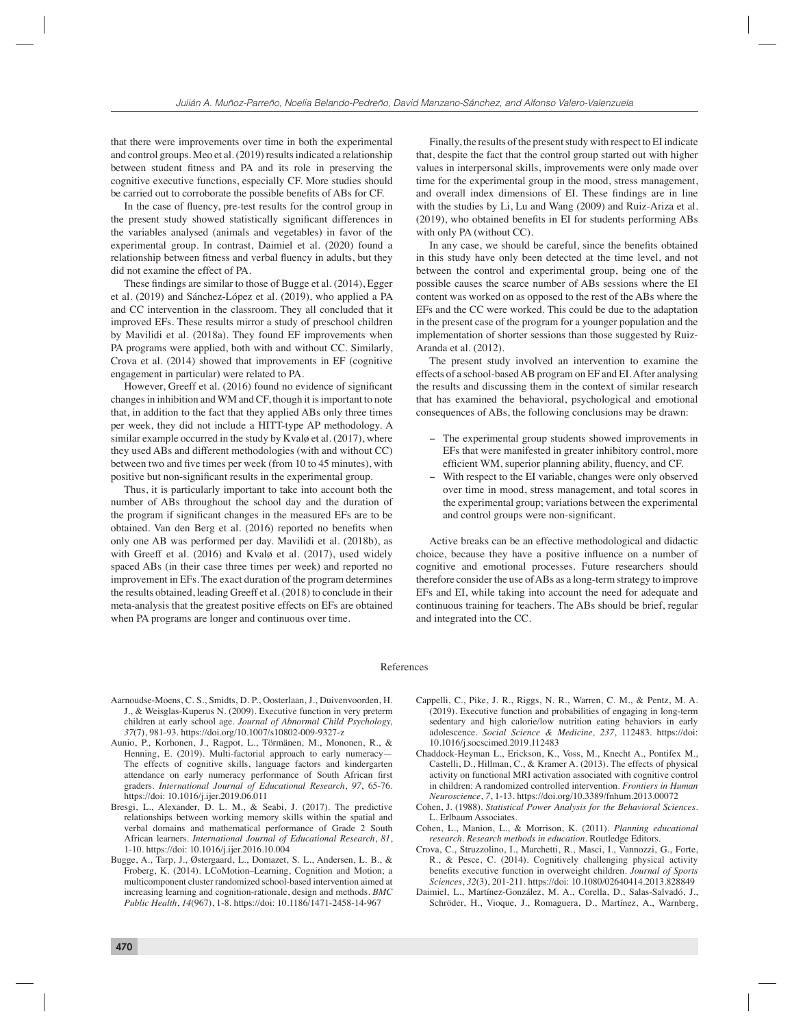that there were improvements over time in both the experimental and control groups. Meo et al. (2019) results indicated a relationship between student fitness and PA and its role in preserving the cognitive executive functions, especially CF. More studies should be carried out to corroborate the possible benefits of ABs for CF.

In the case of fluency, pre-test results for the control group in the present study showed statistically significant differences in the variables analysed (animals and vegetables) in favor of the experimental group. In contrast, Daimiel et al. (2020) found a relationship between fitness and verbal fluency in adults, but they did not examine the effect of PA.

These findings are similar to those of Bugge et al. (2014), Egger et al. (2019) and Sánchez-López et al. (2019), who applied a PA and CC intervention in the classroom. They all concluded that it improved EFs. These results mirror a study of preschool children by Mavilidi et al. (2018a). They found EF improvements when PA programs were applied, both with and without CC. Similarly, Crova et al. (2014) showed that improvements in EF (cognitive engagement in particular) were related to PA.

However, Greeff et al. (2016) found no evidence of significant changes in inhibition and WM and CF, though it is important to note that, in addition to the fact that they applied ABs only three times per week, they did not include a HITT-type AP methodology. A similar example occurred in the study by Kvalø et al. (2017), where they used ABs and different methodologies (with and without CC) between two and five times per week (from 10 to 45 minutes), with positive but non-significant results in the experimental group.

Thus, it is particularly important to take into account both the number of ABs throughout the school day and the duration of the program if significant changes in the measured EFs are to be obtained. Van den Berg et al. (2016) reported no benefits when only one AB was performed per day. Mavilidi et al. (2018b), as with Greeff et al. (2016) and Kvalø et al. (2017), used widely spaced ABs (in their case three times per week) and reported no improvement in EFs. The exact duration of the program determines the results obtained, leading Greeff et al. (2018) to conclude in their meta-analysis that the greatest positive effects on EFs are obtained when PA programs are longer and continuous over time.

Finally, the results of the present study with respect to EI indicate that, despite the fact that the control group started out with higher values in interpersonal skills, improvements were only made over time for the experimental group in the mood, stress management, and overall index dimensions of EI. These findings are in line with the studies by Li, Lu and Wang (2009) and Ruiz-Ariza et al.  $(2019)$ , who obtained benefits in EI for students performing ABs with only PA (without CC).

In any case, we should be careful, since the benefits obtained in this study have only been detected at the time level, and not between the control and experimental group, being one of the possible causes the scarce number of ABs sessions where the EI content was worked on as opposed to the rest of the ABs where the EFs and the CC were worked. This could be due to the adaptation in the present case of the program for a younger population and the implementation of shorter sessions than those suggested by Ruiz-Aranda et al. (2012).

The present study involved an intervention to examine the effects of a school-based AB program on EF and EI. After analysing the results and discussing them in the context of similar research that has examined the behavioral, psychological and emotional consequences of ABs, the following conclusions may be drawn:

- − The experimental group students showed improvements in EFs that were manifested in greater inhibitory control, more efficient WM, superior planning ability, fluency, and CF.
- − With respect to the EI variable, changes were only observed over time in mood, stress management, and total scores in the experimental group; variations between the experimental and control groups were non-significant.

Active breaks can be an effective methodological and didactic choice, because they have a positive influence on a number of cognitive and emotional processes. Future researchers should therefore consider the use of ABs as a long-term strategy to improve EFs and EI, while taking into account the need for adequate and continuous training for teachers. The ABs should be brief, regular and integrated into the CC.

# References

- Aarnoudse-Moens, C. S., Smidts, D. P., Oosterlaan, J., Duivenvoorden, H. J., & Weisglas-Kuperus N. (2009). Executive function in very preterm children at early school age. *Journal of Abnormal Child Psychology, 37*(7), 981-93. https://doi.org/10.1007/s10802-009-9327-z
- Aunio, P., Korhonen, J., Ragpot, L., Törmänen, M., Mononen, R., & Henning, E. (2019). Multi-factorial approach to early numeracy-The effects of cognitive skills, language factors and kindergarten attendance on early numeracy performance of South African first graders. *International Journal of Educational Research*, *97*, 65-76. https://doi: 10.1016/j.ijer.2019.06.011
- Bresgi, L., Alexander, D. L. M., & Seabi, J. (2017). The predictive relationships between working memory skills within the spatial and verbal domains and mathematical performance of Grade 2 South African learners. *International Journal of Educational Research*, *81*, 1-10. https://doi: 10.1016/j.ijer.2016.10.004
- Bugge, A., Tarp, J., Østergaard, L., Domazet, S. L., Andersen, L. B., & Froberg, K. (2014). LCoMotion–Learning, Cognition and Motion; a multicomponent cluster randomized school-based intervention aimed at increasing learning and cognition-rationale, design and methods. *BMC Public Health*, *14*(967), 1-8. https://doi: 10.1186/1471-2458-14-967
- Cappelli, C., Pike, J. R., Riggs, N. R., Warren, C. M., & Pentz, M. A. (2019). Executive function and probabilities of engaging in long-term sedentary and high calorie/low nutrition eating behaviors in early adolescence. *Social Science & Medicine, 237*, 112483. https://doi: 10.1016/j.socscimed.2019.112483
- Chaddock-Heyman L., Erickson, K., Voss, M., Knecht A., Pontifex M., Castelli, D., Hillman, C., & Kramer A. (2013). The effects of physical activity on functional MRI activation associated with cognitive control in children: A randomized controlled intervention. *Frontiers in Human Neuroscience*, *7*, 1-13. https://doi.org/10.3389/fnhum.2013.00072
- Cohen, J. (1988). *Statistical Power Analysis for the Behavioral Sciences*. L. Erlbaum Associates.
- Cohen, L., Manion, L., & Morrison, K. (2011). *Planning educational research. Research methods in education*. Routledge Editors.
- Crova, C., Struzzolino, I., Marchetti, R., Masci, I., Vannozzi, G., Forte, R., & Pesce, C. (2014). Cognitively challenging physical activity benefits executive function in overweight children. *Journal of Sports Sciences*, *32*(3), 201-211. https://doi: 10.1080/02640414.2013.828849
- Daimiel, L., Martínez-González, M. A., Corella, D., Salas-Salvadó, J., Schröder, H., Vioque, J., Romaguera, D., Martínez, A., Warnberg,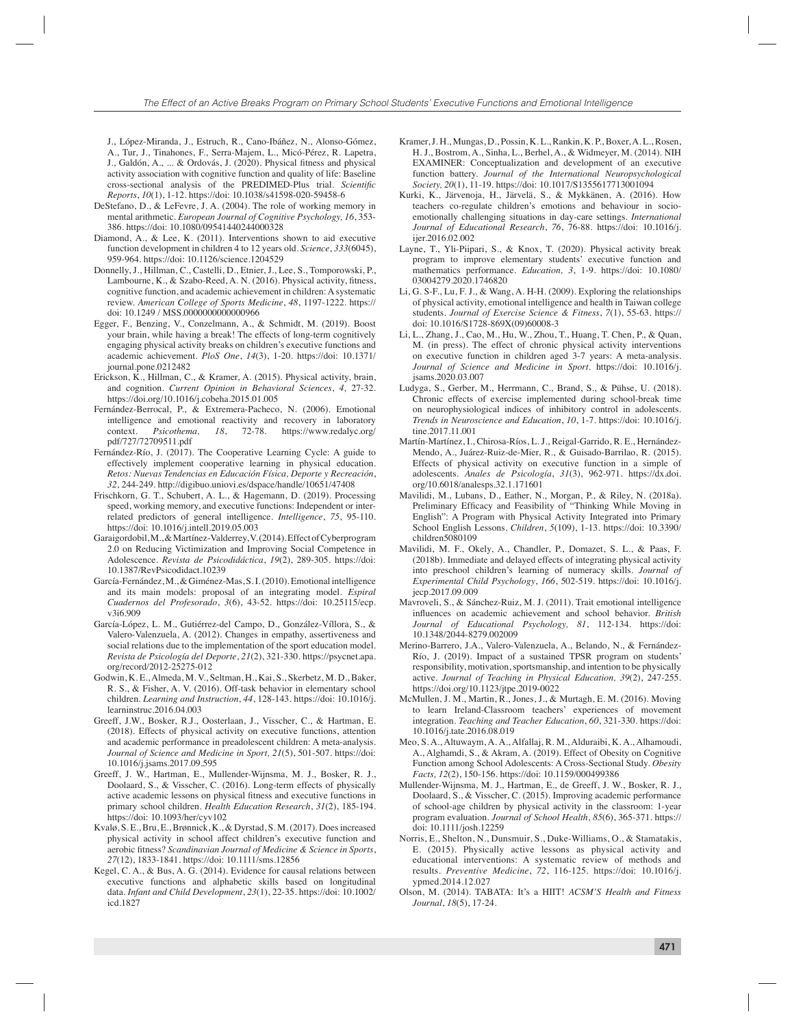J., López-Miranda, J., Estruch, R., Cano-Ibáñez, N., Alonso-Gómez, A., Tur, J., Tinahones, F., Serra-Majem, L., Micó-Pérez, R. Lapetra, J., Galdón, A., ... & Ordovás, J. (2020). Physical fitness and physical activity association with cognitive function and quality of life: Baseline cross-sectional analysis of the PREDIMED-Plus trial. *Scientific Reports*, *10*(1), 1-12. https://doi: 10.1038/s41598-020-59458-6

- DeStefano, D., & LeFevre, J. A. (2004). The role of working memory in mental arithmetic. *European Journal of Cognitive Psychology, 16*, 353- 386. https://doi: 10.1080/09541440244000328
- Diamond, A., & Lee, K. (2011). Interventions shown to aid executive function development in children 4 to 12 years old. *Science*, *333*(6045), 959-964. https://doi: 10.1126/science.1204529
- Donnelly, J., Hillman, C., Castelli, D., Etnier, J., Lee, S., Tomporowski, P., Lambourne, K., & Szabo-Reed, A. N. (2016). Physical activity, fitness, cognitive function, and academic achievement in children: A systematic review. *American College of Sports Medicine*, *48*, 1197-1222. https:// doi: 10.1249 / MSS.0000000000000966
- Egger, F., Benzing, V., Conzelmann, A., & Schmidt, M. (2019). Boost your brain, while having a break! The effects of long-term cognitively engaging physical activity breaks on children's executive functions and academic achievement. *PloS One*, *14*(3), 1-20. https://doi: 10.1371/ journal.pone.0212482
- Erickson, K., Hillman, C., & Kramer, A. (2015). Physical activity, brain, and cognition. *Current Opinion in Behavioral Sciences*, *4,* 27-32. https://doi.org/10.1016/j.cobeha.2015.01.005
- Fernández-Berrocal, P., & Extremera-Pacheco, N. (2006). Emotional intelligence and emotional reactivity and recovery in laboratory context. *Psicothema*, 18, 72-78. https://www.redalyc.org/ 18, 72-78. https://www.redalyc.org/ pdf/727/72709511.pdf
- Fernández-Río, J. (2017). The Cooperative Learning Cycle: A guide to effectively implement cooperative learning in physical education. *Retos: Nuevas Tendencias en Educación Física, Deporte y Recreación*, *32*, 244-249. http://digibuo.uniovi.es/dspace/handle/10651/47408
- Frischkorn, G. T., Schubert, A. L., & Hagemann, D. (2019). Processing speed, working memory, and executive functions: Independent or interrelated predictors of general intelligence. *Intelligence*, *75*, 95-110. https://doi: 10.1016/j.intell.2019.05.003
- Garaigordobil, M., & Martínez-Valderrey, V. (2014). Effect of Cyberprogram 2.0 on Reducing Victimization and Improving Social Competence in Adolescence. *Revista de Psicodidáctica*, *19*(2), 289-305. https://doi: 10.1387/RevPsicodidact.10239
- García-Fernández, M., & Giménez-Mas, S. I. (2010). Emotional intelligence and its main models: proposal of an integrating model. *Espiral Cuadernos del Profesorado*, *3*(6), 43-52. https://doi: 10.25115/ecp. v3i6.909
- García-López, L. M., Gutiérrez-del Campo, D., González-Víllora, S., & Valero-Valenzuela, A. (2012). Changes in empathy, assertiveness and social relations due to the implementation of the sport education model. *Revista de Psicología del Deporte*, *21*(2), 321-330. https://psycnet.apa. org/record/2012-25275-012
- Godwin, K. E., Almeda, M. V., Seltman, H., Kai, S., Skerbetz, M. D., Baker, R. S., & Fisher, A. V. (2016). Off-task behavior in elementary school children. *Learning and Instruction*, *44*, 128-143. https://doi: 10.1016/j. learninstruc.2016.04.003
- Greeff, J.W., Bosker, R.J., Oosterlaan, J., Visscher, C., & Hartman, E. (2018). Effects of physical activity on executive functions, attention and academic performance in preadolescent children: A meta-analysis. *Journal of Science and Medicine in Sport, 21*(5), 501-507. https://doi: 10.1016/j.jsams.2017.09.595
- Greeff, J. W., Hartman, E., Mullender-Wijnsma, M. J., Bosker, R. J., Doolaard, S., & Visscher, C. (2016). Long-term effects of physically active academic lessons on physical fitness and executive functions in primary school children. *Health Education Research*, *31*(2), 185-194. https://doi: 10.1093/her/cyv102
- Kvalø, S. E., Bru, E., Brønnick, K., & Dyrstad, S. M. (2017). Does increased physical activity in school affect children's executive function and aerobic fitness? *Scandinavian Journal of Medicine & Science in Sports*, *27*(12), 1833-1841. https://doi: 10.1111/sms.12856
- Kegel, C. A., & Bus, A. G. (2014). Evidence for causal relations between executive functions and alphabetic skills based on longitudinal data. *Infant and Child Development*, *23*(1), 22-35. https://doi: 10.1002/ icd.1827
- Kramer, J. H., Mungas, D., Possin, K. L., Rankin, K. P., Boxer, A. L., Rosen, H. J., Bostrom, A., Sinha, L., Berhel, A., & Widmeyer, M. (2014). NIH EXAMINER: Conceptualization and development of an executive function battery. *Journal of the International Neuropsychological Society, 20*(1), 11-19. https://doi: 10.1017/S1355617713001094
- Kurki, K., Järvenoja, H., Järvelä, S., & Mykkänen, A. (2016). How teachers co-regulate children's emotions and behaviour in socioemotionally challenging situations in day-care settings. *International Journal of Educational Research*, *76*, 76-88. https://doi: 10.1016/j. ijer.2016.02.002
- Layne, T., Yli-Piipari, S., & Knox, T. (2020). Physical activity break program to improve elementary students' executive function and mathematics performance. *Education, 3*, 1-9. https://doi: 10.1080/ 03004279.2020.1746820
- Li, G. S-F., Lu, F. J., & Wang, A. H-H. (2009). Exploring the relationships of physical activity, emotional intelligence and health in Taiwan college students. *Journal of Exercise Science & Fitness*, *7*(1), 55-63. https:// doi: 10.1016/S1728-869X(09)60008-3
- Li, L., Zhang, J., Cao, M., Hu, W., Zhou, T., Huang, T. Chen, P., & Quan, M. (in press). The effect of chronic physical activity interventions on executive function in children aged 3-7 years: A meta-analysis. *Journal of Science and Medicine in Sport*. https://doi: 10.1016/j. jsams.2020.03.007
- Ludyga, S., Gerber, M., Herrmann, C., Brand, S., & Pühse, U. (2018). Chronic effects of exercise implemented during school-break time on neurophysiological indices of inhibitory control in adolescents. *Trends in Neuroscience and Education*, *10*, 1-7. https://doi: 10.1016/j. tine.2017.11.001
- Martín-Martínez, I., Chirosa-Ríos, L. J., Reigal-Garrido, R. E., Hernández-Mendo, A., Juárez-Ruiz-de-Mier, R., & Guisado-Barrilao, R. (2015). Effects of physical activity on executive function in a simple of adolescents. *Anales de Psicología*, *31*(3), 962-971. https://dx.doi. org/10.6018/analesps.32.1.171601
- Mavilidi, M., Lubans, D., Eather, N., Morgan, P., & Riley, N. (2018a). Preliminary Efficacy and Feasibility of "Thinking While Moving in English": A Program with Physical Activity Integrated into Primary School English Lessons. *Children*, *5*(109), 1-13. https://doi: 10.3390/ children5080109
- Mavilidi, M. F., Okely, A., Chandler, P., Domazet, S. L., & Paas, F. (2018b). Immediate and delayed effects of integrating physical activity into preschool children's learning of numeracy skills. *Journal of Experimental Child Psychology*, *166*, 502-519. https://doi: 10.1016/j. jecp.2017.09.009
- Mavroveli, S., & Sánchez-Ruiz, M. J. (2011). Trait emotional intelligence influences on academic achievement and school behavior. *British Journal of Educational Psychology, 81*, 112-134. https://doi: 10.1348/2044-8279.002009
- Merino-Barrero, J.A., Valero-Valenzuela, A., Belando, N., & Fernández-Río, J. (2019). Impact of a sustained TPSR program on students' responsibility, motivation, sportsmanship, and intention to be physically active. *Journal of Teaching in Physical Education, 39*(2), 247-255. https://doi.org/10.1123/jtpe.2019-0022
- McMullen, J. M., Martin, R., Jones, J., & Murtagh, E. M. (2016). Moving to learn Ireland-Classroom teachers' experiences of movement integration. *Teaching and Teacher Education*, *60*, 321-330. https://doi: 10.1016/j.tate.2016.08.019
- Meo, S. A., Altuwaym, A. A., Alfallaj, R. M., Alduraibi, K. A., Alhamoudi, A., Alghamdi, S., & Akram, A. (2019). Effect of Obesity on Cognitive Function among School Adolescents: A Cross-Sectional Study. *Obesity Facts, 12*(2), 150-156. https://doi: 10.1159/000499386
- Mullender-Wijnsma, M. J., Hartman, E., de Greeff, J. W., Bosker, R. J., Doolaard, S., & Visscher, C. (2015). Improving academic performance of school-age children by physical activity in the classroom: 1-year program evaluation. *Journal of School Health*, *85*(6), 365-371. https:// doi: 10.1111/josh.12259
- Norris, E., Shelton, N., Dunsmuir, S., Duke-Williams, O., & Stamatakis, E. (2015). Physically active lessons as physical activity and educational interventions: A systematic review of methods and results. *Preventive Medicine*, *72*, 116-125. https://doi: 10.1016/j. ypmed.2014.12.027
- Olson, M. (2014). TABATA: It's a HIIT! *ACSM'S Health and Fitness Journal*, *18*(5), 17-24.